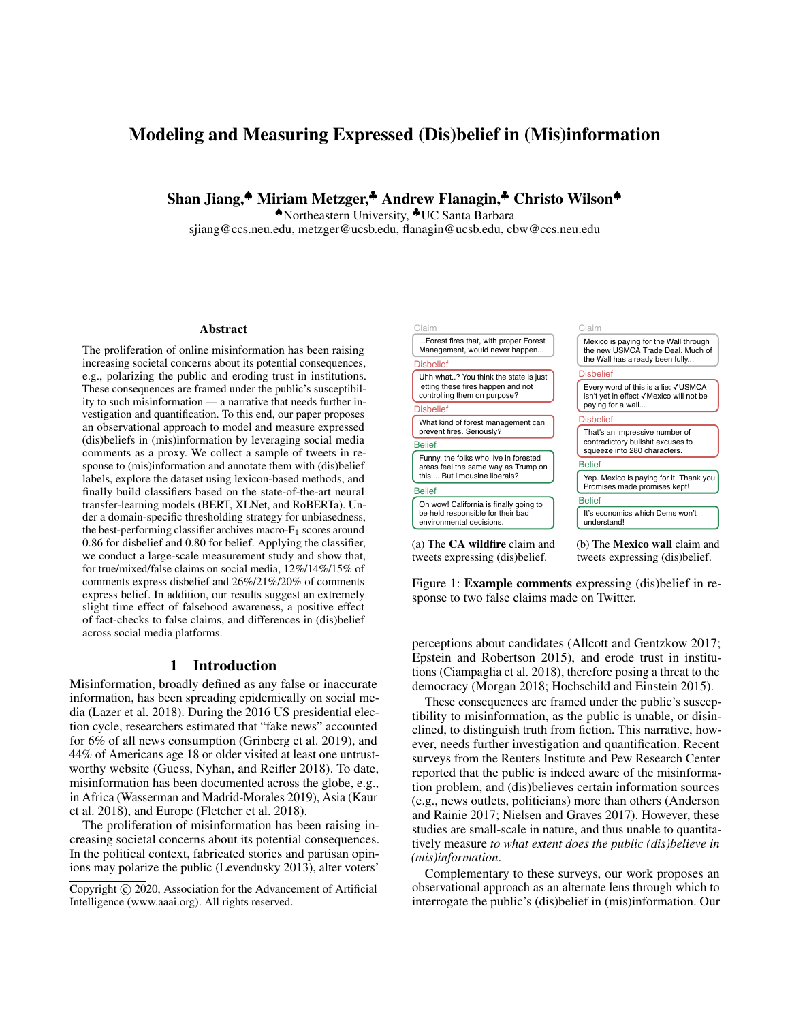# Modeling and Measuring Expressed (Dis)belief in (Mis)information

Shan Jiang,♠ Miriam Metzger,♣ Andrew Flanagin,♣ Christo Wilson♠

♠Northeastern University, ♣UC Santa Barbara

sjiang@ccs.neu.edu, metzger@ucsb.edu, flanagin@ucsb.edu, cbw@ccs.neu.edu

#### Abstract

The proliferation of online misinformation has been raising increasing societal concerns about its potential consequences, e.g., polarizing the public and eroding trust in institutions. These consequences are framed under the public's susceptibility to such misinformation — a narrative that needs further investigation and quantification. To this end, our paper proposes an observational approach to model and measure expressed (dis)beliefs in (mis)information by leveraging social media comments as a proxy. We collect a sample of tweets in response to (mis)information and annotate them with (dis)belief labels, explore the dataset using lexicon-based methods, and finally build classifiers based on the state-of-the-art neural transfer-learning models (BERT, XLNet, and RoBERTa). Under a domain-specific thresholding strategy for unbiasedness, the best-performing classifier archives macro- $F_1$  scores around 0.86 for disbelief and 0.80 for belief. Applying the classifier, we conduct a large-scale measurement study and show that, for true/mixed/false claims on social media, 12%/14%/15% of comments express disbelief and 26%/21%/20% of comments express belief. In addition, our results suggest an extremely slight time effect of falsehood awareness, a positive effect of fact-checks to false claims, and differences in (dis)belief across social media platforms.

### 1 Introduction

Misinformation, broadly defined as any false or inaccurate information, has been spreading epidemically on social media (Lazer et al. 2018). During the 2016 US presidential election cycle, researchers estimated that "fake news" accounted for 6% of all news consumption (Grinberg et al. 2019), and 44% of Americans age 18 or older visited at least one untrustworthy website (Guess, Nyhan, and Reifler 2018). To date, misinformation has been documented across the globe, e.g., in Africa (Wasserman and Madrid-Morales 2019), Asia (Kaur et al. 2018), and Europe (Fletcher et al. 2018).

The proliferation of misinformation has been raising increasing societal concerns about its potential consequences. In the political context, fabricated stories and partisan opinions may polarize the public (Levendusky 2013), alter voters'



Figure 1: Example comments expressing (dis)belief in response to two false claims made on Twitter.

perceptions about candidates (Allcott and Gentzkow 2017; Epstein and Robertson 2015), and erode trust in institutions (Ciampaglia et al. 2018), therefore posing a threat to the democracy (Morgan 2018; Hochschild and Einstein 2015).

These consequences are framed under the public's susceptibility to misinformation, as the public is unable, or disinclined, to distinguish truth from fiction. This narrative, however, needs further investigation and quantification. Recent surveys from the Reuters Institute and Pew Research Center reported that the public is indeed aware of the misinformation problem, and (dis)believes certain information sources (e.g., news outlets, politicians) more than others (Anderson and Rainie 2017; Nielsen and Graves 2017). However, these studies are small-scale in nature, and thus unable to quantitatively measure *to what extent does the public (dis)believe in (mis)information*.

Complementary to these surveys, our work proposes an observational approach as an alternate lens through which to interrogate the public's (dis)belief in (mis)information. Our

Copyright (c) 2020, Association for the Advancement of Artificial Intelligence (www.aaai.org). All rights reserved.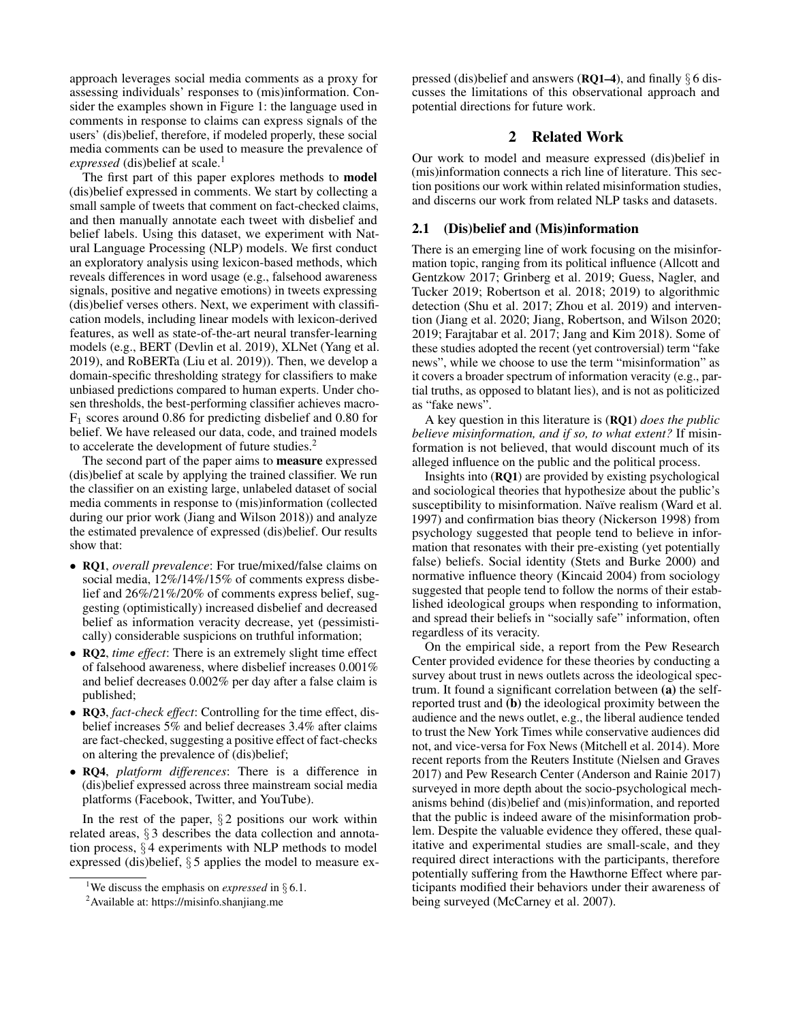approach leverages social media comments as a proxy for assessing individuals' responses to (mis)information. Consider the examples shown in Figure 1: the language used in comments in response to claims can express signals of the users' (dis)belief, therefore, if modeled properly, these social media comments can be used to measure the prevalence of *expressed* (dis)belief at scale.<sup>1</sup>

The first part of this paper explores methods to **model** (dis)belief expressed in comments. We start by collecting a small sample of tweets that comment on fact-checked claims, and then manually annotate each tweet with disbelief and belief labels. Using this dataset, we experiment with Natural Language Processing (NLP) models. We first conduct an exploratory analysis using lexicon-based methods, which reveals differences in word usage (e.g., falsehood awareness signals, positive and negative emotions) in tweets expressing (dis)belief verses others. Next, we experiment with classification models, including linear models with lexicon-derived features, as well as state-of-the-art neural transfer-learning models (e.g., BERT (Devlin et al. 2019), XLNet (Yang et al. 2019), and RoBERTa (Liu et al. 2019)). Then, we develop a domain-specific thresholding strategy for classifiers to make unbiased predictions compared to human experts. Under chosen thresholds, the best-performing classifier achieves macro- $F_1$  scores around 0.86 for predicting disbelief and 0.80 for belief. We have released our data, code, and trained models to accelerate the development of future studies.<sup>2</sup>

The second part of the paper aims to measure expressed (dis)belief at scale by applying the trained classifier. We run the classifier on an existing large, unlabeled dataset of social media comments in response to (mis)information (collected during our prior work (Jiang and Wilson 2018)) and analyze the estimated prevalence of expressed (dis)belief. Our results show that:

- RQ1, *overall prevalence*: For true/mixed/false claims on social media, 12%/14%/15% of comments express disbelief and 26%/21%/20% of comments express belief, suggesting (optimistically) increased disbelief and decreased belief as information veracity decrease, yet (pessimistically) considerable suspicions on truthful information;
- RQ2, *time effect*: There is an extremely slight time effect of falsehood awareness, where disbelief increases 0.001% and belief decreases 0.002% per day after a false claim is published;
- RQ3, *fact-check effect*: Controlling for the time effect, disbelief increases 5% and belief decreases 3.4% after claims are fact-checked, suggesting a positive effect of fact-checks on altering the prevalence of (dis)belief;
- RQ4, *platform differences*: There is a difference in (dis)belief expressed across three mainstream social media platforms (Facebook, Twitter, and YouTube).

In the rest of the paper,  $\S 2$  positions our work within related areas, § 3 describes the data collection and annotation process,  $\S 4$  experiments with NLP methods to model expressed (dis)belief, § 5 applies the model to measure expressed (dis)belief and answers (**RQ1–4**), and finally  $\S 6$  discusses the limitations of this observational approach and potential directions for future work.

### 2 Related Work

Our work to model and measure expressed (dis)belief in (mis)information connects a rich line of literature. This section positions our work within related misinformation studies, and discerns our work from related NLP tasks and datasets.

#### 2.1 (Dis)belief and (Mis)information

There is an emerging line of work focusing on the misinformation topic, ranging from its political influence (Allcott and Gentzkow 2017; Grinberg et al. 2019; Guess, Nagler, and Tucker 2019; Robertson et al. 2018; 2019) to algorithmic detection (Shu et al. 2017; Zhou et al. 2019) and intervention (Jiang et al. 2020; Jiang, Robertson, and Wilson 2020; 2019; Farajtabar et al. 2017; Jang and Kim 2018). Some of these studies adopted the recent (yet controversial) term "fake news", while we choose to use the term "misinformation" as it covers a broader spectrum of information veracity (e.g., partial truths, as opposed to blatant lies), and is not as politicized as "fake news".

A key question in this literature is (RQ1) *does the public believe misinformation, and if so, to what extent?* If misinformation is not believed, that would discount much of its alleged influence on the public and the political process.

Insights into (RQ1) are provided by existing psychological and sociological theories that hypothesize about the public's susceptibility to misinformation. Naïve realism (Ward et al. 1997) and confirmation bias theory (Nickerson 1998) from psychology suggested that people tend to believe in information that resonates with their pre-existing (yet potentially false) beliefs. Social identity (Stets and Burke 2000) and normative influence theory (Kincaid 2004) from sociology suggested that people tend to follow the norms of their established ideological groups when responding to information, and spread their beliefs in "socially safe" information, often regardless of its veracity.

On the empirical side, a report from the Pew Research Center provided evidence for these theories by conducting a survey about trust in news outlets across the ideological spectrum. It found a significant correlation between (a) the selfreported trust and (b) the ideological proximity between the audience and the news outlet, e.g., the liberal audience tended to trust the New York Times while conservative audiences did not, and vice-versa for Fox News (Mitchell et al. 2014). More recent reports from the Reuters Institute (Nielsen and Graves 2017) and Pew Research Center (Anderson and Rainie 2017) surveyed in more depth about the socio-psychological mechanisms behind (dis)belief and (mis)information, and reported that the public is indeed aware of the misinformation problem. Despite the valuable evidence they offered, these qualitative and experimental studies are small-scale, and they required direct interactions with the participants, therefore potentially suffering from the Hawthorne Effect where participants modified their behaviors under their awareness of being surveyed (McCarney et al. 2007).

<sup>&</sup>lt;sup>1</sup>We discuss the emphasis on *expressed* in  $\S 6.1$ .

<sup>&</sup>lt;sup>2</sup>Available at: https://misinfo.shanjiang.me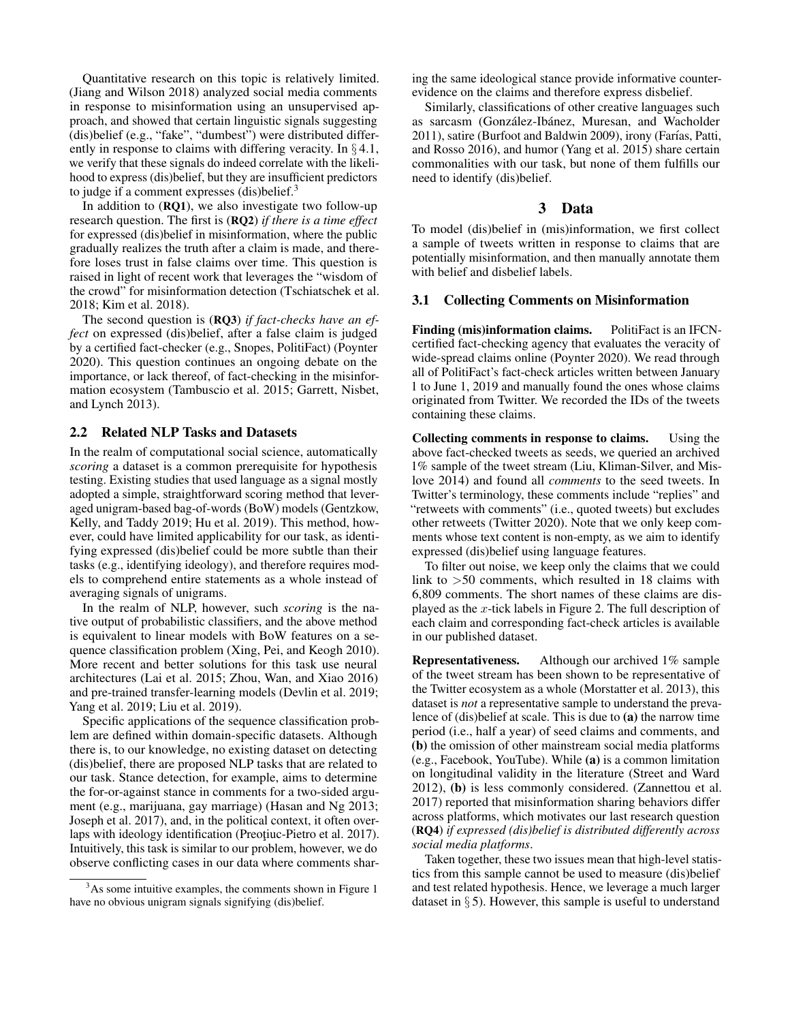Quantitative research on this topic is relatively limited. (Jiang and Wilson 2018) analyzed social media comments in response to misinformation using an unsupervised approach, and showed that certain linguistic signals suggesting (dis)belief (e.g., "fake", "dumbest") were distributed differently in response to claims with differing veracity. In  $\S 4.1$ , we verify that these signals do indeed correlate with the likelihood to express (dis)belief, but they are insufficient predictors to judge if a comment expresses (dis)belief.<sup>3</sup>

In addition to (RQ1), we also investigate two follow-up research question. The first is (RQ2) *if there is a time effect* for expressed (dis)belief in misinformation, where the public gradually realizes the truth after a claim is made, and therefore loses trust in false claims over time. This question is raised in light of recent work that leverages the "wisdom of the crowd" for misinformation detection (Tschiatschek et al. 2018; Kim et al. 2018).

The second question is (RQ3) *if fact-checks have an effect* on expressed (dis)belief, after a false claim is judged by a certified fact-checker (e.g., Snopes, PolitiFact) (Poynter 2020). This question continues an ongoing debate on the importance, or lack thereof, of fact-checking in the misinformation ecosystem (Tambuscio et al. 2015; Garrett, Nisbet, and Lynch 2013).

### 2.2 Related NLP Tasks and Datasets

In the realm of computational social science, automatically *scoring* a dataset is a common prerequisite for hypothesis testing. Existing studies that used language as a signal mostly adopted a simple, straightforward scoring method that leveraged unigram-based bag-of-words (BoW) models (Gentzkow, Kelly, and Taddy 2019; Hu et al. 2019). This method, however, could have limited applicability for our task, as identifying expressed (dis)belief could be more subtle than their tasks (e.g., identifying ideology), and therefore requires models to comprehend entire statements as a whole instead of averaging signals of unigrams.

In the realm of NLP, however, such *scoring* is the native output of probabilistic classifiers, and the above method is equivalent to linear models with BoW features on a sequence classification problem (Xing, Pei, and Keogh 2010). More recent and better solutions for this task use neural architectures (Lai et al. 2015; Zhou, Wan, and Xiao 2016) and pre-trained transfer-learning models (Devlin et al. 2019; Yang et al. 2019; Liu et al. 2019).

Specific applications of the sequence classification problem are defined within domain-specific datasets. Although there is, to our knowledge, no existing dataset on detecting (dis)belief, there are proposed NLP tasks that are related to our task. Stance detection, for example, aims to determine the for-or-against stance in comments for a two-sided argument (e.g., marijuana, gay marriage) (Hasan and Ng 2013; Joseph et al. 2017), and, in the political context, it often overlaps with ideology identification (Preotiuc-Pietro et al. 2017). Intuitively, this task is similar to our problem, however, we do observe conflicting cases in our data where comments shar-

ing the same ideological stance provide informative counterevidence on the claims and therefore express disbelief.

Similarly, classifications of other creative languages such as sarcasm (González-Ibánez, Muresan, and Wacholder 2011), satire (Burfoot and Baldwin 2009), irony (Farías, Patti, and Rosso 2016), and humor (Yang et al. 2015) share certain commonalities with our task, but none of them fulfills our need to identify (dis)belief.

### 3 Data

To model (dis)belief in (mis)information, we first collect a sample of tweets written in response to claims that are potentially misinformation, and then manually annotate them with belief and disbelief labels.

#### 3.1 Collecting Comments on Misinformation

Finding (mis)information claims. PolitiFact is an IFCNcertified fact-checking agency that evaluates the veracity of wide-spread claims online (Poynter 2020). We read through all of PolitiFact's fact-check articles written between January 1 to June 1, 2019 and manually found the ones whose claims originated from Twitter. We recorded the IDs of the tweets containing these claims.

Collecting comments in response to claims. Using the above fact-checked tweets as seeds, we queried an archived 1% sample of the tweet stream (Liu, Kliman-Silver, and Mislove 2014) and found all *comments* to the seed tweets. In Twitter's terminology, these comments include "replies" and "retweets with comments" (i.e., quoted tweets) but excludes other retweets (Twitter 2020). Note that we only keep comments whose text content is non-empty, as we aim to identify expressed (dis)belief using language features.

To filter out noise, we keep only the claims that we could link to >50 comments, which resulted in 18 claims with 6,809 comments. The short names of these claims are displayed as the  $x$ -tick labels in Figure 2. The full description of each claim and corresponding fact-check articles is available in our published dataset.

Representativeness. Although our archived 1% sample of the tweet stream has been shown to be representative of the Twitter ecosystem as a whole (Morstatter et al. 2013), this dataset is *not* a representative sample to understand the prevalence of (dis)belief at scale. This is due to (a) the narrow time period (i.e., half a year) of seed claims and comments, and (b) the omission of other mainstream social media platforms (e.g., Facebook, YouTube). While (a) is a common limitation on longitudinal validity in the literature (Street and Ward 2012), (b) is less commonly considered. (Zannettou et al. 2017) reported that misinformation sharing behaviors differ across platforms, which motivates our last research question (RQ4) *if expressed (dis)belief is distributed differently across social media platforms*.

Taken together, these two issues mean that high-level statistics from this sample cannot be used to measure (dis)belief and test related hypothesis. Hence, we leverage a much larger dataset in  $\S$  5). However, this sample is useful to understand

<sup>&</sup>lt;sup>3</sup>As some intuitive examples, the comments shown in Figure 1 have no obvious unigram signals signifying (dis)belief.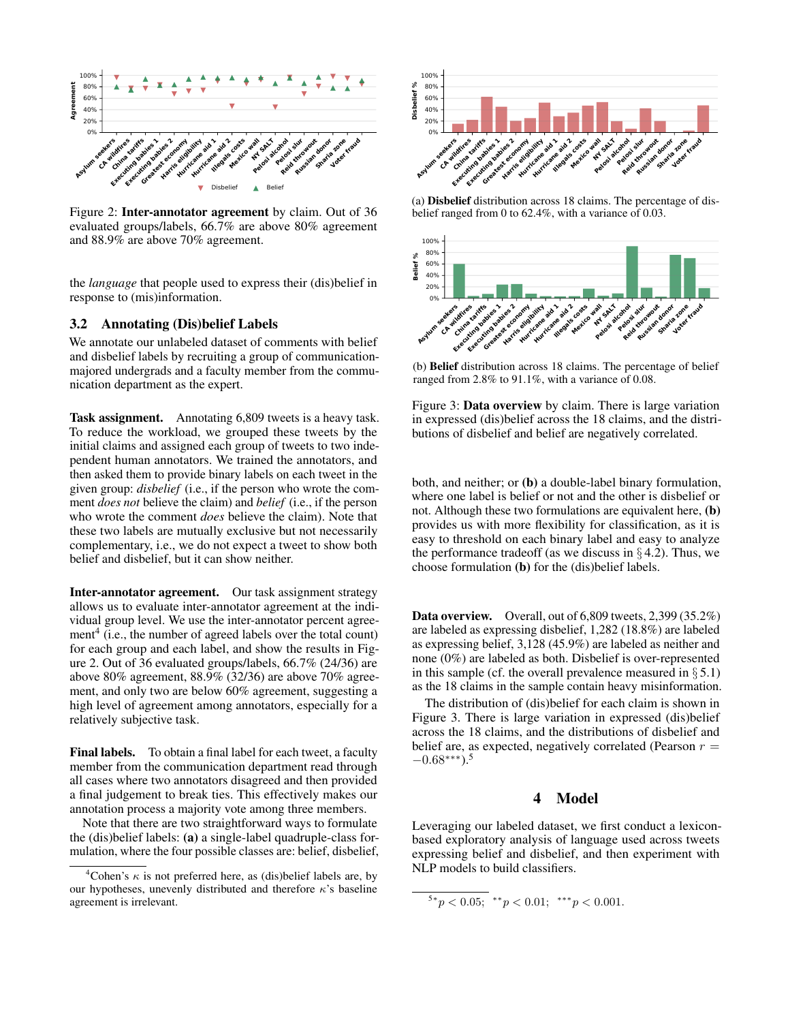

Figure 2: Inter-annotator agreement by claim. Out of 36 evaluated groups/labels, 66.7% are above 80% agreement and 88.9% are above 70% agreement.

the *language* that people used to express their (dis)belief in response to (mis)information.

#### 3.2 Annotating (Dis)belief Labels

We annotate our unlabeled dataset of comments with belief and disbelief labels by recruiting a group of communicationmajored undergrads and a faculty member from the communication department as the expert.

Task assignment. Annotating 6,809 tweets is a heavy task. To reduce the workload, we grouped these tweets by the initial claims and assigned each group of tweets to two independent human annotators. We trained the annotators, and then asked them to provide binary labels on each tweet in the given group: *disbelief* (i.e., if the person who wrote the comment *does not* believe the claim) and *belief* (i.e., if the person who wrote the comment *does* believe the claim). Note that these two labels are mutually exclusive but not necessarily complementary, i.e., we do not expect a tweet to show both belief and disbelief, but it can show neither.

Inter-annotator agreement. Our task assignment strategy allows us to evaluate inter-annotator agreement at the individual group level. We use the inter-annotator percent agreement $^4$  (i.e., the number of agreed labels over the total count) for each group and each label, and show the results in Figure 2. Out of 36 evaluated groups/labels, 66.7% (24/36) are above 80% agreement, 88.9% (32/36) are above 70% agreement, and only two are below 60% agreement, suggesting a high level of agreement among annotators, especially for a relatively subjective task.

Final labels. To obtain a final label for each tweet, a faculty member from the communication department read through all cases where two annotators disagreed and then provided a final judgement to break ties. This effectively makes our annotation process a majority vote among three members.

Note that there are two straightforward ways to formulate the (dis)belief labels: (a) a single-label quadruple-class formulation, where the four possible classes are: belief, disbelief,



(a) Disbelief distribution across 18 claims. The percentage of disbelief ranged from 0 to 62.4%, with a variance of 0.03.



(b) Belief distribution across 18 claims. The percentage of belief ranged from 2.8% to 91.1%, with a variance of 0.08.

Figure 3: Data overview by claim. There is large variation in expressed (dis)belief across the 18 claims, and the distributions of disbelief and belief are negatively correlated.

both, and neither; or (b) a double-label binary formulation, where one label is belief or not and the other is disbelief or not. Although these two formulations are equivalent here, (b) provides us with more flexibility for classification, as it is easy to threshold on each binary label and easy to analyze the performance tradeoff (as we discuss in  $\S 4.2$ ). Thus, we choose formulation (b) for the (dis)belief labels.

Data overview. Overall, out of 6,809 tweets, 2,399 (35.2%) are labeled as expressing disbelief, 1,282 (18.8%) are labeled as expressing belief, 3,128 (45.9%) are labeled as neither and none (0%) are labeled as both. Disbelief is over-represented in this sample (cf. the overall prevalence measured in  $\S 5.1$ ) as the 18 claims in the sample contain heavy misinformation.

The distribution of (dis)belief for each claim is shown in Figure 3. There is large variation in expressed (dis)belief across the 18 claims, and the distributions of disbelief and belief are, as expected, negatively correlated (Pearson  $r =$  $-0.68***$ ).<sup>5</sup>

### 4 Model

Leveraging our labeled dataset, we first conduct a lexiconbased exploratory analysis of language used across tweets expressing belief and disbelief, and then experiment with NLP models to build classifiers.

```
5*p < 0.05; **p < 0.01; ***p < 0.001.
```
<sup>&</sup>lt;sup>4</sup>Cohen's  $\kappa$  is not preferred here, as (dis)belief labels are, by our hypotheses, unevenly distributed and therefore  $\kappa$ 's baseline agreement is irrelevant.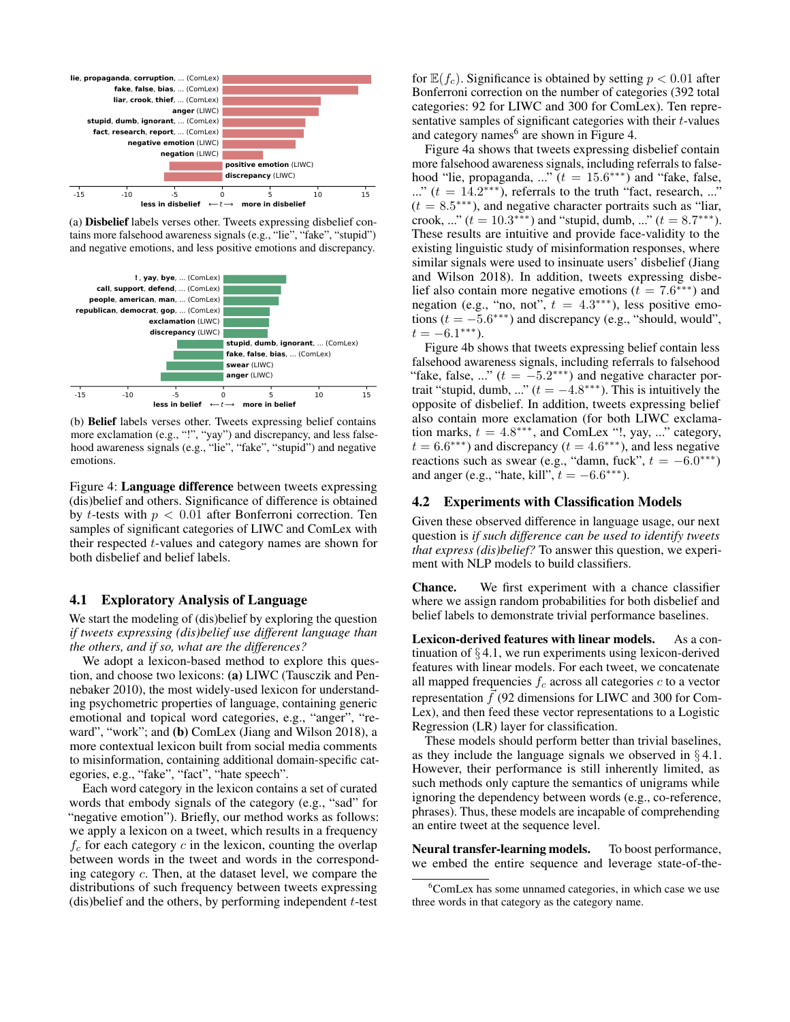

(a) Disbelief labels verses other. Tweets expressing disbelief contains more falsehood awareness signals (e.g., "lie", "fake", "stupid") and negative emotions, and less positive emotions and discrepancy.



(b) Belief labels verses other. Tweets expressing belief contains more exclamation (e.g., "!", "yay") and discrepancy, and less falsehood awareness signals (e.g., "lie", "fake", "stupid") and negative emotions.

Figure 4: Language difference between tweets expressing (dis)belief and others. Significance of difference is obtained by *t*-tests with  $p < 0.01$  after Bonferroni correction. Ten samples of significant categories of LIWC and ComLex with their respected t-values and category names are shown for both disbelief and belief labels.

#### 4.1 Exploratory Analysis of Language

We start the modeling of (dis)belief by exploring the question *if tweets expressing (dis)belief use different language than the others, and if so, what are the differences?*

We adopt a lexicon-based method to explore this question, and choose two lexicons: (a) LIWC (Tausczik and Pennebaker 2010), the most widely-used lexicon for understanding psychometric properties of language, containing generic emotional and topical word categories, e.g., "anger", "reward", "work"; and (b) ComLex (Jiang and Wilson 2018), a more contextual lexicon built from social media comments to misinformation, containing additional domain-specific categories, e.g., "fake", "fact", "hate speech".

Each word category in the lexicon contains a set of curated words that embody signals of the category (e.g., "sad" for "negative emotion"). Briefly, our method works as follows: we apply a lexicon on a tweet, which results in a frequency  $f_c$  for each category  $c$  in the lexicon, counting the overlap between words in the tweet and words in the corresponding category c. Then, at the dataset level, we compare the distributions of such frequency between tweets expressing  $(dis)$ belief and the others, by performing independent  $t$ -test

for  $\mathbb{E}(f_c)$ . Significance is obtained by setting  $p < 0.01$  after Bonferroni correction on the number of categories (392 total categories: 92 for LIWC and 300 for ComLex). Ten representative samples of significant categories with their  $t$ -values and category names<sup>6</sup> are shown in Figure 4.

Figure 4a shows that tweets expressing disbelief contain more falsehood awareness signals, including referrals to falsehood "lie, propaganda, ..."  $(t = 15.6***)$  and "fake, false, ..."  $(t = 14.2$ <sup>\*\*\*</sup>), referrals to the truth "fact, research, ..."  $(t = 8.5***)$ , and negative character portraits such as "liar, crook, ..."  $(t = 10.3$ \*\*\*) and "stupid, dumb, ..."  $(t = 8.7$ \*\*\*). These results are intuitive and provide face-validity to the existing linguistic study of misinformation responses, where similar signals were used to insinuate users' disbelief (Jiang and Wilson 2018). In addition, tweets expressing disbelief also contain more negative emotions ( $t = 7.6$ <sup>\*\*\*</sup>) and negation (e.g., "no, not",  $t = 4.3***$ ), less positive emotions  $(t = -5.6***)$  and discrepancy (e.g., "should, would",  $t = -6.1***$ ).

Figure 4b shows that tweets expressing belief contain less falsehood awareness signals, including referrals to falsehood "fake, false, ..."  $(t = -5.2***)$  and negative character portrait "stupid, dumb, ..."  $(t = -4.8***)$ . This is intuitively the opposite of disbelief. In addition, tweets expressing belief also contain more exclamation (for both LIWC exclamation marks,  $t = 4.8***$ , and ComLex "!, yay, ..." category,  $t = 6.6$ <sup>\*\*\*</sup>) and discrepancy ( $t = 4.6$ <sup>\*\*\*</sup>), and less negative reactions such as swear (e.g., "damn, fuck",  $t = -6.0$ \*\*\*) and anger (e.g., "hate, kill",  $t = -6.6$ \*\*\*).

#### 4.2 Experiments with Classification Models

Given these observed difference in language usage, our next question is *if such difference can be used to identify tweets that express (dis)belief?* To answer this question, we experiment with NLP models to build classifiers.

Chance. We first experiment with a chance classifier where we assign random probabilities for both disbelief and belief labels to demonstrate trivial performance baselines.

Lexicon-derived features with linear models. As a continuation of  $\S 4.1$ , we run experiments using lexicon-derived features with linear models. For each tweet, we concatenate all mapped frequencies  $f_c$  across all categories  $c$  to a vector representation  $\vec{f}$  (92 dimensions for LIWC and 300 for Com-Lex), and then feed these vector representations to a Logistic Regression (LR) layer for classification.

These models should perform better than trivial baselines, as they include the language signals we observed in  $\S 4.1$ . However, their performance is still inherently limited, as such methods only capture the semantics of unigrams while ignoring the dependency between words (e.g., co-reference, phrases). Thus, these models are incapable of comprehending an entire tweet at the sequence level.

Neural transfer-learning models. To boost performance, we embed the entire sequence and leverage state-of-the-

<sup>&</sup>lt;sup>6</sup>ComLex has some unnamed categories, in which case we use three words in that category as the category name.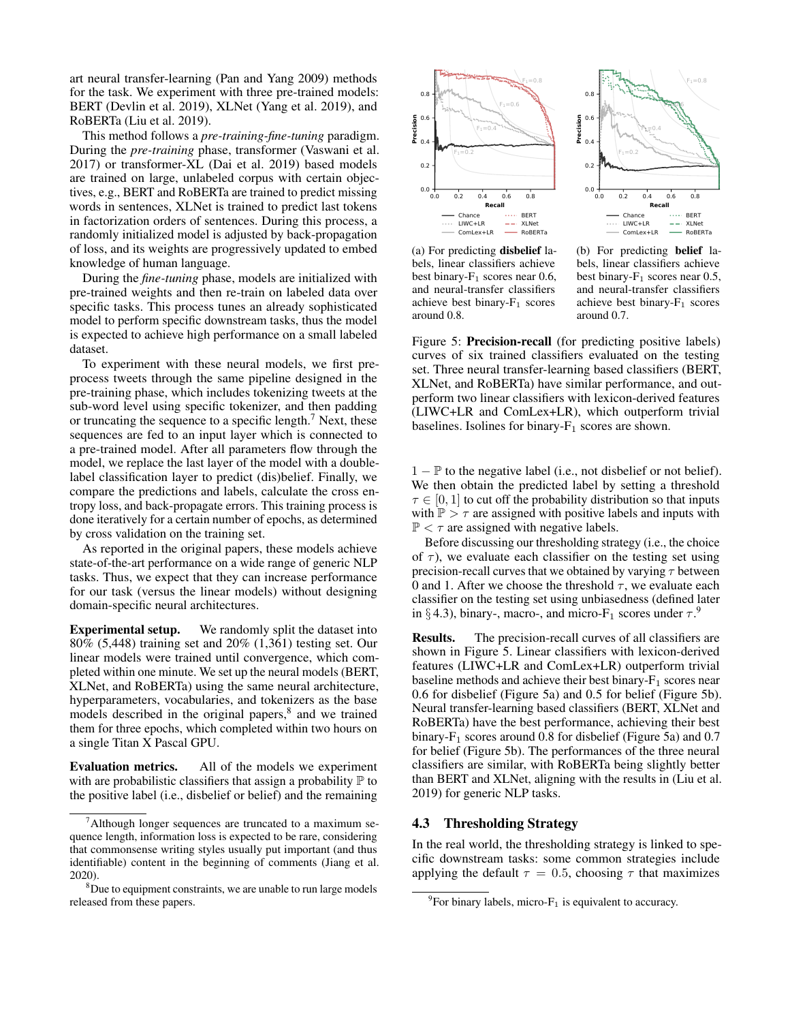art neural transfer-learning (Pan and Yang 2009) methods for the task. We experiment with three pre-trained models: BERT (Devlin et al. 2019), XLNet (Yang et al. 2019), and RoBERTa (Liu et al. 2019).

This method follows a *pre-training-fine-tuning* paradigm. During the *pre-training* phase, transformer (Vaswani et al. 2017) or transformer-XL (Dai et al. 2019) based models are trained on large, unlabeled corpus with certain objectives, e.g., BERT and RoBERTa are trained to predict missing words in sentences, XLNet is trained to predict last tokens in factorization orders of sentences. During this process, a randomly initialized model is adjusted by back-propagation of loss, and its weights are progressively updated to embed knowledge of human language.

During the *fine-tuning* phase, models are initialized with pre-trained weights and then re-train on labeled data over specific tasks. This process tunes an already sophisticated model to perform specific downstream tasks, thus the model is expected to achieve high performance on a small labeled dataset.

To experiment with these neural models, we first preprocess tweets through the same pipeline designed in the pre-training phase, which includes tokenizing tweets at the sub-word level using specific tokenizer, and then padding or truncating the sequence to a specific length.<sup>7</sup> Next, these sequences are fed to an input layer which is connected to a pre-trained model. After all parameters flow through the model, we replace the last layer of the model with a doublelabel classification layer to predict (dis)belief. Finally, we compare the predictions and labels, calculate the cross entropy loss, and back-propagate errors. This training process is done iteratively for a certain number of epochs, as determined by cross validation on the training set.

As reported in the original papers, these models achieve state-of-the-art performance on a wide range of generic NLP tasks. Thus, we expect that they can increase performance for our task (versus the linear models) without designing domain-specific neural architectures.

Experimental setup. We randomly split the dataset into 80% (5,448) training set and 20% (1,361) testing set. Our linear models were trained until convergence, which completed within one minute. We set up the neural models (BERT, XLNet, and RoBERTa) using the same neural architecture, hyperparameters, vocabularies, and tokenizers as the base models described in the original papers,<sup>8</sup> and we trained them for three epochs, which completed within two hours on a single Titan X Pascal GPU.

Evaluation metrics. All of the models we experiment with are probabilistic classifiers that assign a probability  $\mathbb P$  to the positive label (i.e., disbelief or belief) and the remaining



(a) For predicting disbelief labels, linear classifiers achieve best binary- $F_1$  scores near 0.6, and neural-transfer classifiers achieve best binary- $F_1$  scores around 0.8.

(b) For predicting belief labels, linear classifiers achieve best binary- $F_1$  scores near 0.5, and neural-transfer classifiers achieve best binary- $F_1$  scores around 0.7.

Figure 5: Precision-recall (for predicting positive labels) curves of six trained classifiers evaluated on the testing set. Three neural transfer-learning based classifiers (BERT, XLNet, and RoBERTa) have similar performance, and outperform two linear classifiers with lexicon-derived features (LIWC+LR and ComLex+LR), which outperform trivial baselines. Isolines for binary- $F_1$  scores are shown.

1 − P to the negative label (i.e., not disbelief or not belief). We then obtain the predicted label by setting a threshold  $\tau \in [0, 1]$  to cut off the probability distribution so that inputs with  $\mathbb{P} > \tau$  are assigned with positive labels and inputs with  $\mathbb{P} < \tau$  are assigned with negative labels.

Before discussing our thresholding strategy (i.e., the choice of  $\tau$ ), we evaluate each classifier on the testing set using precision-recall curves that we obtained by varying  $\tau$  between 0 and 1. After we choose the threshold  $\tau$ , we evaluate each classifier on the testing set using unbiasedness (defined later in § 4.3), binary-, macro-, and micro- $F_1$  scores under  $\tau$ .<sup>9</sup>

Results. The precision-recall curves of all classifiers are shown in Figure 5. Linear classifiers with lexicon-derived features (LIWC+LR and ComLex+LR) outperform trivial baseline methods and achieve their best binary- $F_1$  scores near 0.6 for disbelief (Figure 5a) and 0.5 for belief (Figure 5b). Neural transfer-learning based classifiers (BERT, XLNet and RoBERTa) have the best performance, achieving their best binary- $F_1$  scores around 0.8 for disbelief (Figure 5a) and 0.7 for belief (Figure 5b). The performances of the three neural classifiers are similar, with RoBERTa being slightly better than BERT and XLNet, aligning with the results in (Liu et al. 2019) for generic NLP tasks.

### 4.3 Thresholding Strategy

In the real world, the thresholding strategy is linked to specific downstream tasks: some common strategies include applying the default  $\tau = 0.5$ , choosing  $\tau$  that maximizes

 $7$ Although longer sequences are truncated to a maximum sequence length, information loss is expected to be rare, considering that commonsense writing styles usually put important (and thus identifiable) content in the beginning of comments (Jiang et al. 2020).

<sup>&</sup>lt;sup>8</sup>Due to equipment constraints, we are unable to run large models released from these papers.

 ${}^{9}$ For binary labels, micro- $F_1$  is equivalent to accuracy.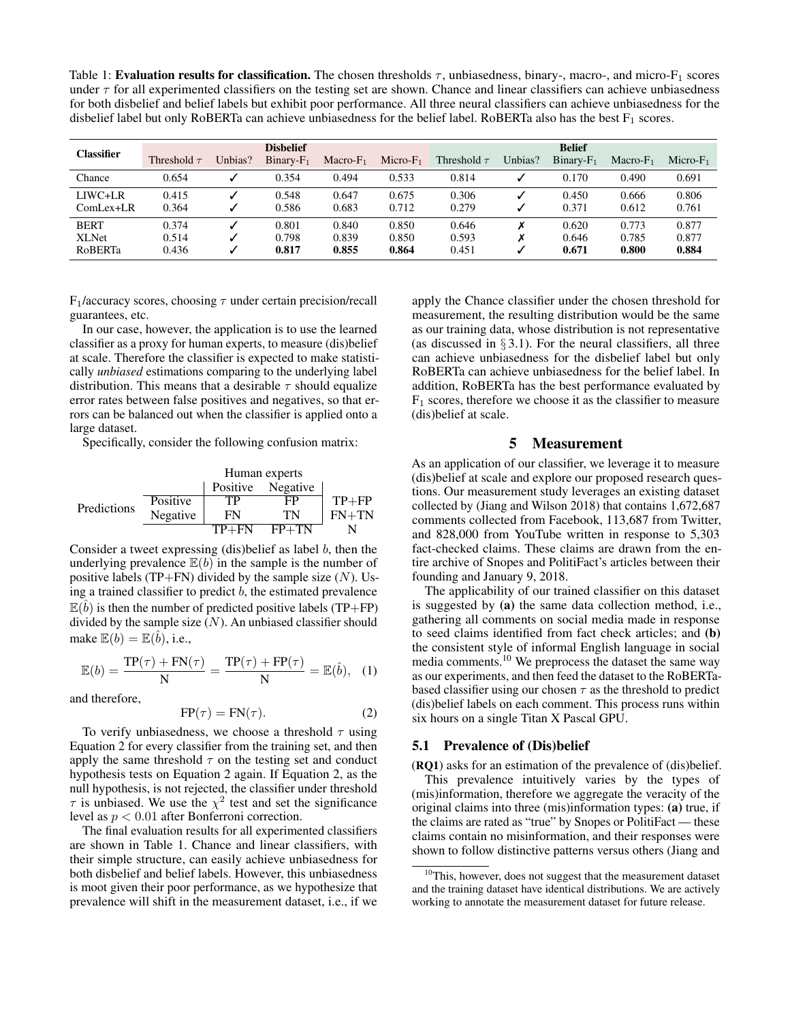Table 1: Evaluation results for classification. The chosen thresholds  $\tau$ , unbiasedness, binary-, macro-, and micro- $F_1$  scores under  $\tau$  for all experimented classifiers on the testing set are shown. Chance and linear classifiers can achieve unbiasedness for both disbelief and belief labels but exhibit poor performance. All three neural classifiers can achieve unbiasedness for the disbelief label but only RoBERTa can achieve unbiasedness for the belief label. RoBERTa also has the best  $F_1$  scores.

| <b>Classifier</b>                      | <b>Dishelief</b>        |         |                         |                         |                         | <b>Belief</b>           |         |                         |                         |                         |
|----------------------------------------|-------------------------|---------|-------------------------|-------------------------|-------------------------|-------------------------|---------|-------------------------|-------------------------|-------------------------|
|                                        | Threshold $\tau$        | Unbias? | $Binary-F_1$            | $Macro-F1$              | $Micro-F1$              | Threshold $\tau$        | Unbias? | $Binary-F_1$            | Macro- $F_1$            | $Micro-F1$              |
| Chance                                 | 0.654                   |         | 0.354                   | 0.494                   | 0.533                   | 0.814                   |         | 0.170                   | 0.490                   | 0.691                   |
| LIWC+LR<br>$ComLex+LR$                 | 0.415<br>0.364          |         | 0.548<br>0.586          | 0.647<br>0.683          | 0.675<br>0.712          | 0.306<br>0.279          |         | 0.450<br>0.371          | 0.666<br>0.612          | 0.806<br>0.761          |
| <b>BERT</b><br><b>XLNet</b><br>RoBERTa | 0.374<br>0.514<br>0.436 |         | 0.801<br>0.798<br>0.817 | 0.840<br>0.839<br>0.855 | 0.850<br>0.850<br>0.864 | 0.646<br>0.593<br>0.451 | Х       | 0.620<br>0.646<br>0.671 | 0.773<br>0.785<br>0.800 | 0.877<br>0.877<br>0.884 |

 $F_1$ /accuracy scores, choosing  $\tau$  under certain precision/recall guarantees, etc.

In our case, however, the application is to use the learned classifier as a proxy for human experts, to measure (dis)belief at scale. Therefore the classifier is expected to make statistically *unbiased* estimations comparing to the underlying label distribution. This means that a desirable  $\tau$  should equalize error rates between false positives and negatives, so that errors can be balanced out when the classifier is applied onto a large dataset.

Specifically, consider the following confusion matrix:

Human experts Positive Negative Predictions Positive TP FP TP+FP Negative FN TN FN+TN TP+FN FP+TN N

Consider a tweet expressing (dis)belief as label  $b$ , then the underlying prevalence  $E(b)$  in the sample is the number of positive labels (TP+FN) divided by the sample size  $(N)$ . Using a trained classifier to predict  $b$ , the estimated prevalence  $\mathbb{E}(\hat{b})$  is then the number of predicted positive labels (TP+FP) divided by the sample size  $(N)$ . An unbiased classifier should make  $\mathbb{E}(b) = \mathbb{E}(\hat{b})$ , i.e.,

$$
\mathbb{E}(b) = \frac{\text{TP}(\tau) + \text{FN}(\tau)}{\text{N}} = \frac{\text{TP}(\tau) + \text{FP}(\tau)}{\text{N}} = \mathbb{E}(\hat{b}), \quad (1)
$$

and therefore,

$$
FP(\tau) = FN(\tau). \tag{2}
$$

To verify unbiasedness, we choose a threshold  $\tau$  using Equation 2 for every classifier from the training set, and then apply the same threshold  $\tau$  on the testing set and conduct hypothesis tests on Equation 2 again. If Equation 2, as the null hypothesis, is not rejected, the classifier under threshold  $\tau$  is unbiased. We use the  $\chi^2$  test and set the significance level as  $p < 0.01$  after Bonferroni correction.

The final evaluation results for all experimented classifiers are shown in Table 1. Chance and linear classifiers, with their simple structure, can easily achieve unbiasedness for both disbelief and belief labels. However, this unbiasedness is moot given their poor performance, as we hypothesize that prevalence will shift in the measurement dataset, i.e., if we

apply the Chance classifier under the chosen threshold for measurement, the resulting distribution would be the same as our training data, whose distribution is not representative (as discussed in  $\S 3.1$ ). For the neural classifiers, all three can achieve unbiasedness for the disbelief label but only RoBERTa can achieve unbiasedness for the belief label. In addition, RoBERTa has the best performance evaluated by  $F_1$  scores, therefore we choose it as the classifier to measure (dis)belief at scale.

#### 5 Measurement

As an application of our classifier, we leverage it to measure (dis)belief at scale and explore our proposed research questions. Our measurement study leverages an existing dataset collected by (Jiang and Wilson 2018) that contains 1,672,687 comments collected from Facebook, 113,687 from Twitter, and 828,000 from YouTube written in response to 5,303 fact-checked claims. These claims are drawn from the entire archive of Snopes and PolitiFact's articles between their founding and January 9, 2018.

The applicability of our trained classifier on this dataset is suggested by (a) the same data collection method, i.e., gathering all comments on social media made in response to seed claims identified from fact check articles; and (b) the consistent style of informal English language in social media comments.<sup>10</sup> We preprocess the dataset the same way as our experiments, and then feed the dataset to the RoBERTabased classifier using our chosen  $\tau$  as the threshold to predict (dis)belief labels on each comment. This process runs within six hours on a single Titan X Pascal GPU.

#### 5.1 Prevalence of (Dis)belief

(RQ1) asks for an estimation of the prevalence of (dis)belief. This prevalence intuitively varies by the types of (mis)information, therefore we aggregate the veracity of the original claims into three (mis)information types: (a) true, if the claims are rated as "true" by Snopes or PolitiFact — these claims contain no misinformation, and their responses were shown to follow distinctive patterns versus others (Jiang and

 $10$ This, however, does not suggest that the measurement dataset and the training dataset have identical distributions. We are actively working to annotate the measurement dataset for future release.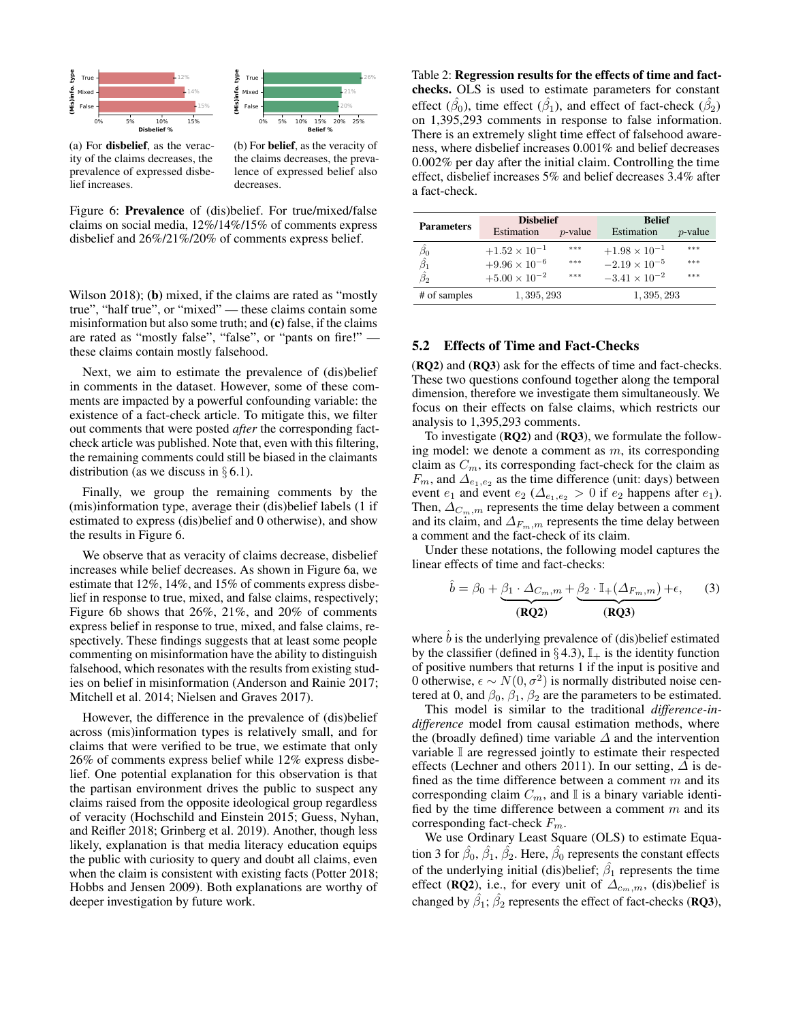



(a) For disbelief, as the veracity of the claims decreases, the prevalence of expressed disbelief increases.

(b) For belief, as the veracity of the claims decreases, the prevalence of expressed belief also decreases.

Figure 6: Prevalence of (dis)belief. For true/mixed/false claims on social media, 12%/14%/15% of comments express disbelief and 26%/21%/20% of comments express belief.

Wilson 2018); (b) mixed, if the claims are rated as "mostly true", "half true", or "mixed" — these claims contain some misinformation but also some truth; and (c) false, if the claims are rated as "mostly false", "false", or "pants on fire!" these claims contain mostly falsehood.

Next, we aim to estimate the prevalence of (dis)belief in comments in the dataset. However, some of these comments are impacted by a powerful confounding variable: the existence of a fact-check article. To mitigate this, we filter out comments that were posted *after* the corresponding factcheck article was published. Note that, even with this filtering, the remaining comments could still be biased in the claimants distribution (as we discuss in  $\S 6.1$ ).

Finally, we group the remaining comments by the (mis)information type, average their (dis)belief labels (1 if estimated to express (dis)belief and 0 otherwise), and show the results in Figure 6.

We observe that as veracity of claims decrease, disbelief increases while belief decreases. As shown in Figure 6a, we estimate that 12%, 14%, and 15% of comments express disbelief in response to true, mixed, and false claims, respectively; Figure 6b shows that 26%, 21%, and 20% of comments express belief in response to true, mixed, and false claims, respectively. These findings suggests that at least some people commenting on misinformation have the ability to distinguish falsehood, which resonates with the results from existing studies on belief in misinformation (Anderson and Rainie 2017; Mitchell et al. 2014; Nielsen and Graves 2017).

However, the difference in the prevalence of (dis)belief across (mis)information types is relatively small, and for claims that were verified to be true, we estimate that only 26% of comments express belief while 12% express disbelief. One potential explanation for this observation is that the partisan environment drives the public to suspect any claims raised from the opposite ideological group regardless of veracity (Hochschild and Einstein 2015; Guess, Nyhan, and Reifler 2018; Grinberg et al. 2019). Another, though less likely, explanation is that media literacy education equips the public with curiosity to query and doubt all claims, even when the claim is consistent with existing facts (Potter 2018; Hobbs and Jensen 2009). Both explanations are worthy of deeper investigation by future work.

Table 2: Regression results for the effects of time and factchecks. OLS is used to estimate parameters for constant effect  $(\hat{\beta}_0)$ , time effect  $(\hat{\beta}_1)$ , and effect of fact-check  $(\hat{\beta}_2)$ on 1,395,293 comments in response to false information. There is an extremely slight time effect of falsehood awareness, where disbelief increases 0.001% and belief decreases 0.002% per day after the initial claim. Controlling the time effect, disbelief increases 5% and belief decreases 3.4% after a fact-check.

| <b>Parameters</b>               | <b>Dishelief</b>       |            | <b>Belief</b>          |            |  |  |
|---------------------------------|------------------------|------------|------------------------|------------|--|--|
|                                 | Estimation             | $p$ -value | Estimation             | $p$ -value |  |  |
|                                 | $+1.52 \times 10^{-1}$ | ***        | $+1.98 \times 10^{-1}$ | ***        |  |  |
| $\frac{\beta_0}{\hat{\beta_1}}$ | $+9.96 \times 10^{-6}$ | ***        | $-2.19 \times 10^{-5}$ | ***        |  |  |
| $\hat{\beta_2}$                 | $+5.00 \times 10^{-2}$ | ***        | $-3.41 \times 10^{-2}$ | ***        |  |  |
| # of samples                    | 1, 395, 293            |            | 1, 395, 293            |            |  |  |

#### 5.2 Effects of Time and Fact-Checks

(RQ2) and (RQ3) ask for the effects of time and fact-checks. These two questions confound together along the temporal dimension, therefore we investigate them simultaneously. We focus on their effects on false claims, which restricts our analysis to 1,395,293 comments.

To investigate (RQ2) and (RQ3), we formulate the following model: we denote a comment as  $m$ , its corresponding claim as  $C_m$ , its corresponding fact-check for the claim as  $F_m$ , and  $\Delta_{e_1,e_2}$  as the time difference (unit: days) between event  $e_1$  and event  $e_2$  ( $\Delta_{e_1,e_2} > 0$  if  $e_2$  happens after  $e_1$ ). Then,  $\Delta_{C_m,m}$  represents the time delay between a comment and its claim, and  $\Delta_{F_m,m}$  represents the time delay between a comment and the fact-check of its claim.

Under these notations, the following model captures the linear effects of time and fact-checks:

$$
\hat{b} = \beta_0 + \underbrace{\beta_1 \cdot \Delta_{C_m, m}}_{(\text{RQ2})} + \underbrace{\beta_2 \cdot \mathbb{I}_{+}(\Delta_{F_m, m})}_{(\text{RQ3})} + \epsilon, \qquad (3)
$$

where  $\hat{b}$  is the underlying prevalence of (dis)belief estimated by the classifier (defined in  $\S 4.3$ ),  $\mathbb{I}_{+}$  is the identity function of positive numbers that returns 1 if the input is positive and 0 otherwise,  $\epsilon \sim N(0, \sigma^2)$  is normally distributed noise centered at 0, and  $\beta_0$ ,  $\beta_1$ ,  $\beta_2$  are the parameters to be estimated.

This model is similar to the traditional *difference-indifference* model from causal estimation methods, where the (broadly defined) time variable  $\Delta$  and the intervention variable I are regressed jointly to estimate their respected effects (Lechner and others 2011). In our setting,  $\Delta$  is defined as the time difference between a comment  $m$  and its corresponding claim  $C_m$ , and  $\mathbb I$  is a binary variable identified by the time difference between a comment  $m$  and its corresponding fact-check  $F_m$ .

We use Ordinary Least Square (OLS) to estimate Equation 3 for  $\hat{\beta}_0$ ,  $\hat{\beta}_1$ ,  $\hat{\beta}_2$ . Here,  $\hat{\beta}_0$  represents the constant effects of the underlying initial (dis)belief;  $\hat{\beta}_1$  represents the time effect (RQ2), i.e., for every unit of  $\Delta_{c_m,m}$ , (dis)belief is changed by  $\hat{\beta_1};\hat{\beta_2}$  represents the effect of fact-checks (**RQ3**),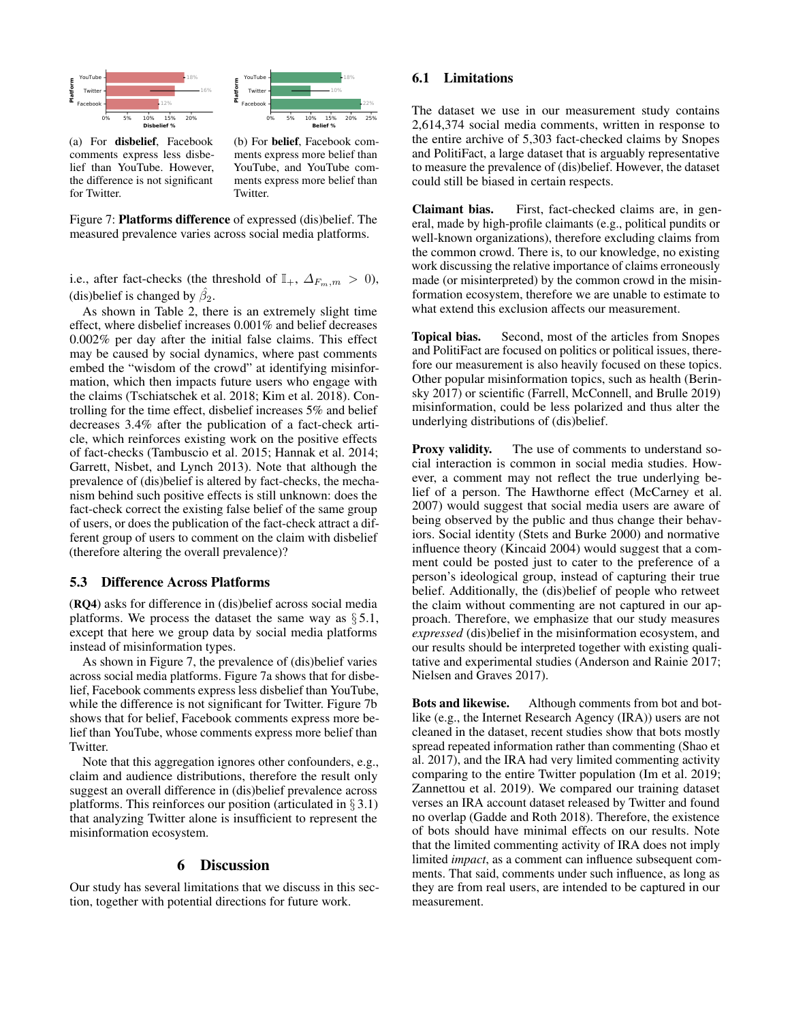

(a) For disbelief, Facebook comments express less disbelief than YouTube. However, the difference is not significant for Twitter.

(b) For belief, Facebook comments express more belief than YouTube, and YouTube comments express more belief than Twitter.

22%

18%

Figure 7: Platforms difference of expressed (dis)belief. The measured prevalence varies across social media platforms.

i.e., after fact-checks (the threshold of  $\mathbb{I}_{+}$ ,  $\Delta_{F_m,m} > 0$ ), (dis)belief is changed by  $\hat{\beta}_2$ .

As shown in Table 2, there is an extremely slight time effect, where disbelief increases 0.001% and belief decreases 0.002% per day after the initial false claims. This effect may be caused by social dynamics, where past comments embed the "wisdom of the crowd" at identifying misinformation, which then impacts future users who engage with the claims (Tschiatschek et al. 2018; Kim et al. 2018). Controlling for the time effect, disbelief increases 5% and belief decreases 3.4% after the publication of a fact-check article, which reinforces existing work on the positive effects of fact-checks (Tambuscio et al. 2015; Hannak et al. 2014; Garrett, Nisbet, and Lynch 2013). Note that although the prevalence of (dis)belief is altered by fact-checks, the mechanism behind such positive effects is still unknown: does the fact-check correct the existing false belief of the same group of users, or does the publication of the fact-check attract a different group of users to comment on the claim with disbelief (therefore altering the overall prevalence)?

#### 5.3 Difference Across Platforms

(RQ4) asks for difference in (dis)belief across social media platforms. We process the dataset the same way as  $\S 5.1$ , except that here we group data by social media platforms instead of misinformation types.

As shown in Figure 7, the prevalence of (dis)belief varies across social media platforms. Figure 7a shows that for disbelief, Facebook comments express less disbelief than YouTube, while the difference is not significant for Twitter. Figure 7b shows that for belief, Facebook comments express more belief than YouTube, whose comments express more belief than Twitter.

Note that this aggregation ignores other confounders, e.g., claim and audience distributions, therefore the result only suggest an overall difference in (dis)belief prevalence across platforms. This reinforces our position (articulated in  $\S 3.1$ ) that analyzing Twitter alone is insufficient to represent the misinformation ecosystem.

#### 6 Discussion

Our study has several limitations that we discuss in this section, together with potential directions for future work.

### 6.1 Limitations

The dataset we use in our measurement study contains 2,614,374 social media comments, written in response to the entire archive of 5,303 fact-checked claims by Snopes and PolitiFact, a large dataset that is arguably representative to measure the prevalence of (dis)belief. However, the dataset could still be biased in certain respects.

Claimant bias. First, fact-checked claims are, in general, made by high-profile claimants (e.g., political pundits or well-known organizations), therefore excluding claims from the common crowd. There is, to our knowledge, no existing work discussing the relative importance of claims erroneously made (or misinterpreted) by the common crowd in the misinformation ecosystem, therefore we are unable to estimate to what extend this exclusion affects our measurement.

Topical bias. Second, most of the articles from Snopes and PolitiFact are focused on politics or political issues, therefore our measurement is also heavily focused on these topics. Other popular misinformation topics, such as health (Berinsky 2017) or scientific (Farrell, McConnell, and Brulle 2019) misinformation, could be less polarized and thus alter the underlying distributions of (dis)belief.

Proxy validity. The use of comments to understand social interaction is common in social media studies. However, a comment may not reflect the true underlying belief of a person. The Hawthorne effect (McCarney et al. 2007) would suggest that social media users are aware of being observed by the public and thus change their behaviors. Social identity (Stets and Burke 2000) and normative influence theory (Kincaid 2004) would suggest that a comment could be posted just to cater to the preference of a person's ideological group, instead of capturing their true belief. Additionally, the (dis)belief of people who retweet the claim without commenting are not captured in our approach. Therefore, we emphasize that our study measures *expressed* (dis)belief in the misinformation ecosystem, and our results should be interpreted together with existing qualitative and experimental studies (Anderson and Rainie 2017; Nielsen and Graves 2017).

Bots and likewise. Although comments from bot and botlike (e.g., the Internet Research Agency (IRA)) users are not cleaned in the dataset, recent studies show that bots mostly spread repeated information rather than commenting (Shao et al. 2017), and the IRA had very limited commenting activity comparing to the entire Twitter population (Im et al. 2019; Zannettou et al. 2019). We compared our training dataset verses an IRA account dataset released by Twitter and found no overlap (Gadde and Roth 2018). Therefore, the existence of bots should have minimal effects on our results. Note that the limited commenting activity of IRA does not imply limited *impact*, as a comment can influence subsequent comments. That said, comments under such influence, as long as they are from real users, are intended to be captured in our measurement.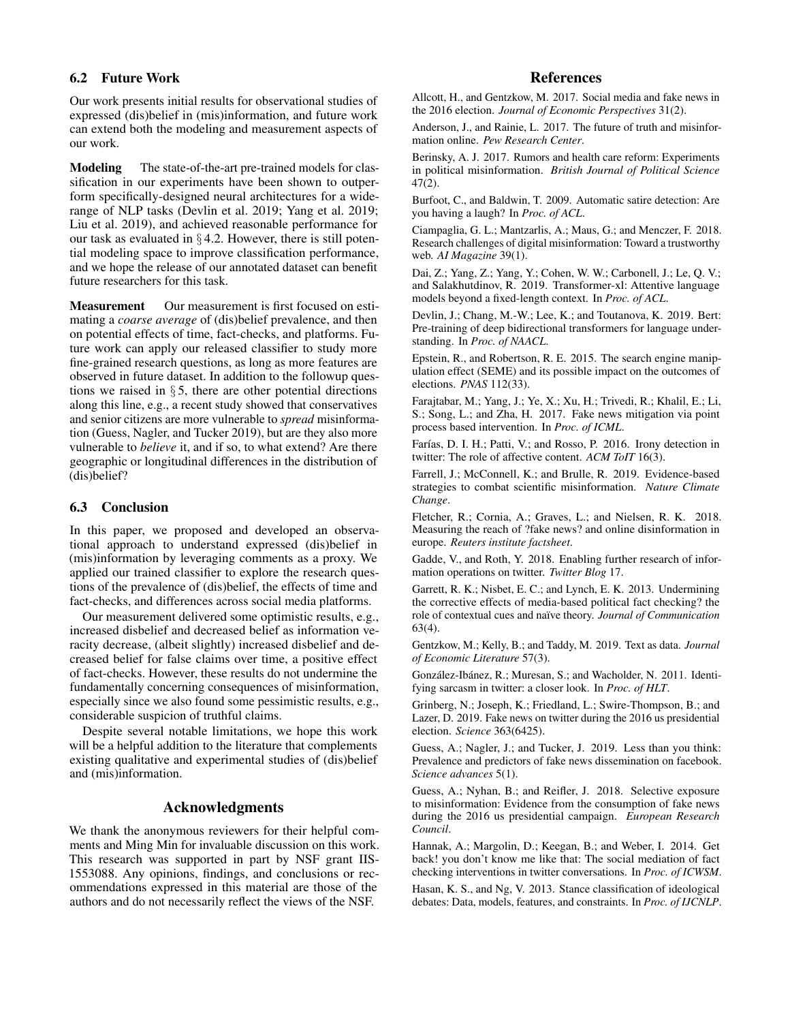### 6.2 Future Work

Our work presents initial results for observational studies of expressed (dis)belief in (mis)information, and future work can extend both the modeling and measurement aspects of our work.

Modeling The state-of-the-art pre-trained models for classification in our experiments have been shown to outperform specifically-designed neural architectures for a widerange of NLP tasks (Devlin et al. 2019; Yang et al. 2019; Liu et al. 2019), and achieved reasonable performance for our task as evaluated in  $\S 4.2$ . However, there is still potential modeling space to improve classification performance, and we hope the release of our annotated dataset can benefit future researchers for this task.

Measurement Our measurement is first focused on estimating a *coarse average* of (dis)belief prevalence, and then on potential effects of time, fact-checks, and platforms. Future work can apply our released classifier to study more fine-grained research questions, as long as more features are observed in future dataset. In addition to the followup questions we raised in  $\S 5$ , there are other potential directions along this line, e.g., a recent study showed that conservatives and senior citizens are more vulnerable to *spread* misinformation (Guess, Nagler, and Tucker 2019), but are they also more vulnerable to *believe* it, and if so, to what extend? Are there geographic or longitudinal differences in the distribution of (dis)belief?

### 6.3 Conclusion

In this paper, we proposed and developed an observational approach to understand expressed (dis)belief in (mis)information by leveraging comments as a proxy. We applied our trained classifier to explore the research questions of the prevalence of (dis)belief, the effects of time and fact-checks, and differences across social media platforms.

Our measurement delivered some optimistic results, e.g., increased disbelief and decreased belief as information veracity decrease, (albeit slightly) increased disbelief and decreased belief for false claims over time, a positive effect of fact-checks. However, these results do not undermine the fundamentally concerning consequences of misinformation, especially since we also found some pessimistic results, e.g., considerable suspicion of truthful claims.

Despite several notable limitations, we hope this work will be a helpful addition to the literature that complements existing qualitative and experimental studies of (dis)belief and (mis)information.

## Acknowledgments

We thank the anonymous reviewers for their helpful comments and Ming Min for invaluable discussion on this work. This research was supported in part by NSF grant IIS-1553088. Any opinions, findings, and conclusions or recommendations expressed in this material are those of the authors and do not necessarily reflect the views of the NSF.

## References

Allcott, H., and Gentzkow, M. 2017. Social media and fake news in the 2016 election. *Journal of Economic Perspectives* 31(2).

Anderson, J., and Rainie, L. 2017. The future of truth and misinformation online. *Pew Research Center*.

Berinsky, A. J. 2017. Rumors and health care reform: Experiments in political misinformation. *British Journal of Political Science* 47(2).

Burfoot, C., and Baldwin, T. 2009. Automatic satire detection: Are you having a laugh? In *Proc. of ACL*.

Ciampaglia, G. L.; Mantzarlis, A.; Maus, G.; and Menczer, F. 2018. Research challenges of digital misinformation: Toward a trustworthy web. *AI Magazine* 39(1).

Dai, Z.; Yang, Z.; Yang, Y.; Cohen, W. W.; Carbonell, J.; Le, Q. V.; and Salakhutdinov, R. 2019. Transformer-xl: Attentive language models beyond a fixed-length context. In *Proc. of ACL*.

Devlin, J.; Chang, M.-W.; Lee, K.; and Toutanova, K. 2019. Bert: Pre-training of deep bidirectional transformers for language understanding. In *Proc. of NAACL*.

Epstein, R., and Robertson, R. E. 2015. The search engine manipulation effect (SEME) and its possible impact on the outcomes of elections. *PNAS* 112(33).

Farajtabar, M.; Yang, J.; Ye, X.; Xu, H.; Trivedi, R.; Khalil, E.; Li, S.; Song, L.; and Zha, H. 2017. Fake news mitigation via point process based intervention. In *Proc. of ICML*.

Farías, D. I. H.; Patti, V.; and Rosso, P. 2016. Irony detection in twitter: The role of affective content. *ACM ToIT* 16(3).

Farrell, J.; McConnell, K.; and Brulle, R. 2019. Evidence-based strategies to combat scientific misinformation. *Nature Climate Change*.

Fletcher, R.; Cornia, A.; Graves, L.; and Nielsen, R. K. 2018. Measuring the reach of ?fake news? and online disinformation in europe. *Reuters institute factsheet*.

Gadde, V., and Roth, Y. 2018. Enabling further research of information operations on twitter. *Twitter Blog* 17.

Garrett, R. K.; Nisbet, E. C.; and Lynch, E. K. 2013. Undermining the corrective effects of media-based political fact checking? the role of contextual cues and na¨ıve theory. *Journal of Communication* 63(4).

Gentzkow, M.; Kelly, B.; and Taddy, M. 2019. Text as data. *Journal of Economic Literature* 57(3).

González-Ibánez, R.; Muresan, S.; and Wacholder, N. 2011. Identifying sarcasm in twitter: a closer look. In *Proc. of HLT*.

Grinberg, N.; Joseph, K.; Friedland, L.; Swire-Thompson, B.; and Lazer, D. 2019. Fake news on twitter during the 2016 us presidential election. *Science* 363(6425).

Guess, A.; Nagler, J.; and Tucker, J. 2019. Less than you think: Prevalence and predictors of fake news dissemination on facebook. *Science advances* 5(1).

Guess, A.; Nyhan, B.; and Reifler, J. 2018. Selective exposure to misinformation: Evidence from the consumption of fake news during the 2016 us presidential campaign. *European Research Council*.

Hannak, A.; Margolin, D.; Keegan, B.; and Weber, I. 2014. Get back! you don't know me like that: The social mediation of fact checking interventions in twitter conversations. In *Proc. of ICWSM*.

Hasan, K. S., and Ng, V. 2013. Stance classification of ideological debates: Data, models, features, and constraints. In *Proc. of IJCNLP*.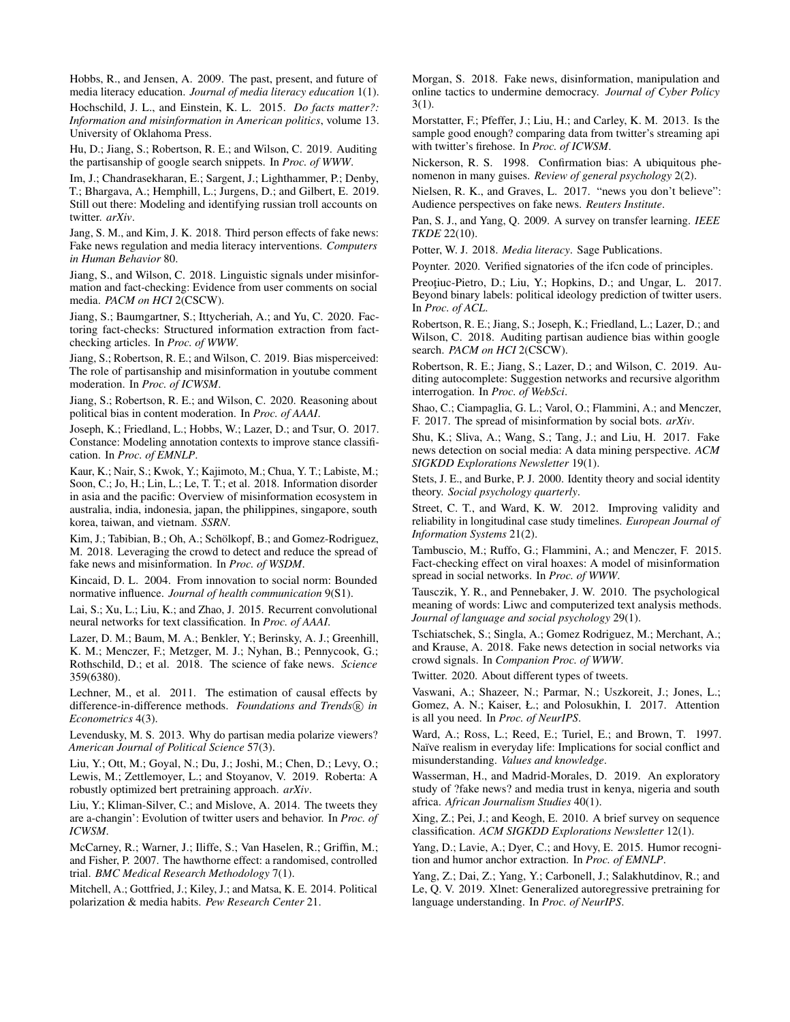Hobbs, R., and Jensen, A. 2009. The past, present, and future of media literacy education. *Journal of media literacy education* 1(1).

Hochschild, J. L., and Einstein, K. L. 2015. *Do facts matter?: Information and misinformation in American politics*, volume 13. University of Oklahoma Press.

Hu, D.; Jiang, S.; Robertson, R. E.; and Wilson, C. 2019. Auditing the partisanship of google search snippets. In *Proc. of WWW*.

Im, J.; Chandrasekharan, E.; Sargent, J.; Lighthammer, P.; Denby, T.; Bhargava, A.; Hemphill, L.; Jurgens, D.; and Gilbert, E. 2019. Still out there: Modeling and identifying russian troll accounts on twitter. *arXiv*.

Jang, S. M., and Kim, J. K. 2018. Third person effects of fake news: Fake news regulation and media literacy interventions. *Computers in Human Behavior* 80.

Jiang, S., and Wilson, C. 2018. Linguistic signals under misinformation and fact-checking: Evidence from user comments on social media. *PACM on HCI* 2(CSCW).

Jiang, S.; Baumgartner, S.; Ittycheriah, A.; and Yu, C. 2020. Factoring fact-checks: Structured information extraction from factchecking articles. In *Proc. of WWW*.

Jiang, S.; Robertson, R. E.; and Wilson, C. 2019. Bias misperceived: The role of partisanship and misinformation in youtube comment moderation. In *Proc. of ICWSM*.

Jiang, S.; Robertson, R. E.; and Wilson, C. 2020. Reasoning about political bias in content moderation. In *Proc. of AAAI*.

Joseph, K.; Friedland, L.; Hobbs, W.; Lazer, D.; and Tsur, O. 2017. Constance: Modeling annotation contexts to improve stance classification. In *Proc. of EMNLP*.

Kaur, K.; Nair, S.; Kwok, Y.; Kajimoto, M.; Chua, Y. T.; Labiste, M.; Soon, C.; Jo, H.; Lin, L.; Le, T. T.; et al. 2018. Information disorder in asia and the pacific: Overview of misinformation ecosystem in australia, india, indonesia, japan, the philippines, singapore, south korea, taiwan, and vietnam. *SSRN*.

Kim, J.; Tabibian, B.; Oh, A.; Schölkopf, B.; and Gomez-Rodriguez, M. 2018. Leveraging the crowd to detect and reduce the spread of fake news and misinformation. In *Proc. of WSDM*.

Kincaid, D. L. 2004. From innovation to social norm: Bounded normative influence. *Journal of health communication* 9(S1).

Lai, S.; Xu, L.; Liu, K.; and Zhao, J. 2015. Recurrent convolutional neural networks for text classification. In *Proc. of AAAI*.

Lazer, D. M.; Baum, M. A.; Benkler, Y.; Berinsky, A. J.; Greenhill, K. M.; Menczer, F.; Metzger, M. J.; Nyhan, B.; Pennycook, G.; Rothschild, D.; et al. 2018. The science of fake news. *Science* 359(6380).

Lechner, M., et al. 2011. The estimation of causal effects by difference-in-difference methods. *Foundations and Trends*( $\widehat{R}$ ) in *Econometrics* 4(3).

Levendusky, M. S. 2013. Why do partisan media polarize viewers? *American Journal of Political Science* 57(3).

Liu, Y.; Ott, M.; Goyal, N.; Du, J.; Joshi, M.; Chen, D.; Levy, O.; Lewis, M.; Zettlemoyer, L.; and Stoyanov, V. 2019. Roberta: A robustly optimized bert pretraining approach. *arXiv*.

Liu, Y.; Kliman-Silver, C.; and Mislove, A. 2014. The tweets they are a-changin': Evolution of twitter users and behavior. In *Proc. of ICWSM*.

McCarney, R.; Warner, J.; Iliffe, S.; Van Haselen, R.; Griffin, M.; and Fisher, P. 2007. The hawthorne effect: a randomised, controlled trial. *BMC Medical Research Methodology* 7(1).

Mitchell, A.; Gottfried, J.; Kiley, J.; and Matsa, K. E. 2014. Political polarization & media habits. *Pew Research Center* 21.

Morgan, S. 2018. Fake news, disinformation, manipulation and online tactics to undermine democracy. *Journal of Cyber Policy* 3(1).

Morstatter, F.; Pfeffer, J.; Liu, H.; and Carley, K. M. 2013. Is the sample good enough? comparing data from twitter's streaming api with twitter's firehose. In *Proc. of ICWSM*.

Nickerson, R. S. 1998. Confirmation bias: A ubiquitous phenomenon in many guises. *Review of general psychology* 2(2).

Nielsen, R. K., and Graves, L. 2017. "news you don't believe": Audience perspectives on fake news. *Reuters Institute*.

Pan, S. J., and Yang, Q. 2009. A survey on transfer learning. *IEEE TKDE* 22(10).

Potter, W. J. 2018. *Media literacy*. Sage Publications.

Poynter. 2020. Verified signatories of the ifcn code of principles.

Preoțiuc-Pietro, D.; Liu, Y.; Hopkins, D.; and Ungar, L. 2017. Beyond binary labels: political ideology prediction of twitter users. In *Proc. of ACL*.

Robertson, R. E.; Jiang, S.; Joseph, K.; Friedland, L.; Lazer, D.; and Wilson, C. 2018. Auditing partisan audience bias within google search. *PACM on HCI* 2(CSCW).

Robertson, R. E.; Jiang, S.; Lazer, D.; and Wilson, C. 2019. Auditing autocomplete: Suggestion networks and recursive algorithm interrogation. In *Proc. of WebSci*.

Shao, C.; Ciampaglia, G. L.; Varol, O.; Flammini, A.; and Menczer, F. 2017. The spread of misinformation by social bots. *arXiv*.

Shu, K.; Sliva, A.; Wang, S.; Tang, J.; and Liu, H. 2017. Fake news detection on social media: A data mining perspective. *ACM SIGKDD Explorations Newsletter* 19(1).

Stets, J. E., and Burke, P. J. 2000. Identity theory and social identity theory. *Social psychology quarterly*.

Street, C. T., and Ward, K. W. 2012. Improving validity and reliability in longitudinal case study timelines. *European Journal of Information Systems* 21(2).

Tambuscio, M.; Ruffo, G.; Flammini, A.; and Menczer, F. 2015. Fact-checking effect on viral hoaxes: A model of misinformation spread in social networks. In *Proc. of WWW*.

Tausczik, Y. R., and Pennebaker, J. W. 2010. The psychological meaning of words: Liwc and computerized text analysis methods. *Journal of language and social psychology* 29(1).

Tschiatschek, S.; Singla, A.; Gomez Rodriguez, M.; Merchant, A.; and Krause, A. 2018. Fake news detection in social networks via crowd signals. In *Companion Proc. of WWW*.

Twitter. 2020. About different types of tweets.

Vaswani, A.; Shazeer, N.; Parmar, N.; Uszkoreit, J.; Jones, L.; Gomez, A. N.; Kaiser, Ł.; and Polosukhin, I. 2017. Attention is all you need. In *Proc. of NeurIPS*.

Ward, A.; Ross, L.; Reed, E.; Turiel, E.; and Brown, T. 1997. Naïve realism in everyday life: Implications for social conflict and misunderstanding. *Values and knowledge*.

Wasserman, H., and Madrid-Morales, D. 2019. An exploratory study of ?fake news? and media trust in kenya, nigeria and south africa. *African Journalism Studies* 40(1).

Xing, Z.; Pei, J.; and Keogh, E. 2010. A brief survey on sequence classification. *ACM SIGKDD Explorations Newsletter* 12(1).

Yang, D.; Lavie, A.; Dyer, C.; and Hovy, E. 2015. Humor recognition and humor anchor extraction. In *Proc. of EMNLP*.

Yang, Z.; Dai, Z.; Yang, Y.; Carbonell, J.; Salakhutdinov, R.: and Le, Q. V. 2019. Xlnet: Generalized autoregressive pretraining for language understanding. In *Proc. of NeurIPS*.